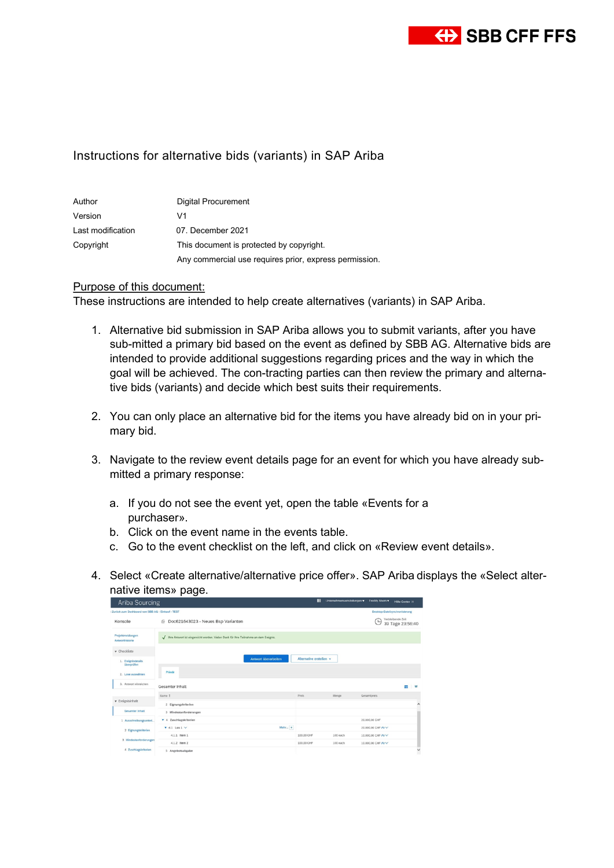

## Instructions for alternative bids (variants) in SAP Ariba

| Author            | Digital Procurement                                    |
|-------------------|--------------------------------------------------------|
| Version           | V1                                                     |
| Last modification | 07. December 2021                                      |
| Copyright         | This document is protected by copyright.               |
|                   | Any commercial use requires prior, express permission. |

## Purpose of this document:

These instructions are intended to help create alternatives (variants) in SAP Ariba.

- 1. Alternative bid submission in SAP Ariba allows you to submit variants, after you have sub-mitted a primary bid based on the event as defined by SBB AG. Alternative bids are intended to provide additional suggestions regarding prices and the way in which the goal will be achieved. The con-tracting parties can then review the primary and alternative bids (variants) and decide which best suits their requirements.
- 2. You can only place an alternative bid for the items you have already bid on in your primary bid.
- 3. Navigate to the review event details page for an event for which you have already submitted a primary response:
	- a. If you do not see the event yet, open the table «Events for a purchaser».
	- b. Click on the event name in the events table.
	- c. Go to the event checklist on the left, and click on «Review event details».
- 4. Select «Create alternative/alternative price offer». SAP Ariba displays the «Select alternative items» page.

| Ariba Sourcing                                        |                                                                                      |                         | ш                                     | Unternehmenseinstellungen v Freddy Ahorn v | Hitle-Center 33 |
|-------------------------------------------------------|--------------------------------------------------------------------------------------|-------------------------|---------------------------------------|--------------------------------------------|-----------------|
| Zurück zum Dashboard von SBB AG - Einkauf - TEST      |                                                                                      |                         |                                       | Desktop-Dateisynchronisierung              |                 |
| Konsole                                               | C Doc621643023 - Neues Bsp Varianten                                                 | ſΩ                      | Verbleibende Zeit<br>39 Tage 23:56:40 |                                            |                 |
| Projektmeldungen<br>Antworthistorie                   | Thre Antwort ist eingereicht worden. Vielen Dank für Ihre Teilnahme an dem Ereignis. |                         |                                       |                                            |                 |
| v Checkliste                                          |                                                                                      |                         |                                       |                                            |                 |
| 1. Ereignisdetails<br><b><i><u>Uberprüfen</u></i></b> | Antwort überarbeiten                                                                 | Alternative erstellen v |                                       |                                            |                 |
| 2. Lose auswählen                                     | Primär                                                                               |                         |                                       |                                            |                 |
| 3. Antwort einreichen                                 | Gesamter Inhalt                                                                      |                         |                                       |                                            | ¥               |
|                                                       | Name 1                                                                               | Preis.                  | Menge                                 | Gesamtpreis                                |                 |
| <b>v</b> Ereignisinhalt                               | 2 Eignungskriterien                                                                  |                         |                                       |                                            |                 |
| <b>Gesamter Inhalt</b>                                | 3 Mindestanforderungen                                                               |                         |                                       |                                            |                 |
| 1 Ausschreibungsuntert                                | v 4 Zuschlagskriterien                                                               |                         |                                       | 20,000.00 CHF                              |                 |
| 2 Eignungskriterien                                   | $+41$ Los 1 $\vee$                                                                   | Mehr $+$                |                                       | 20,000,00 CHF Fx V                         |                 |
|                                                       | 4.1.1 Nem 1                                                                          | 100.00 CHF              | 100 each                              | 10.000.00 CHF Fx V                         |                 |
| 3 Mindestanforderungen                                | 4.1.2 Item 2                                                                         | 100.00 CHF              | 100 each                              | 10,000.00 CHF Fx V                         |                 |
| 4 Zuschlagskriterien                                  | 5 Angebotsabgabe                                                                     |                         |                                       |                                            | $\checkmark$    |